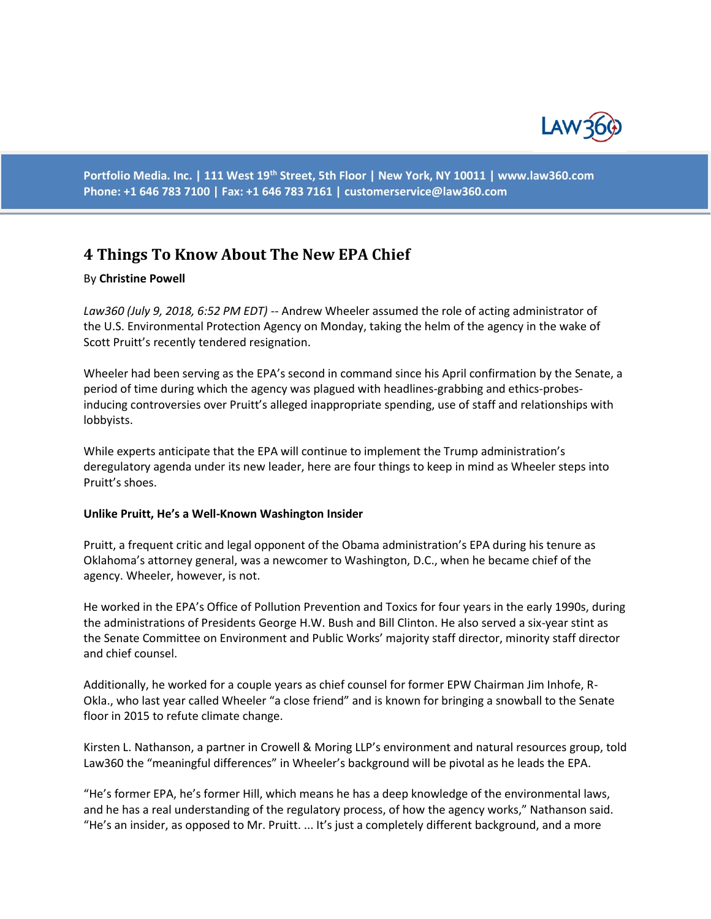

**Portfolio Media. Inc. | 111 West 19th Street, 5th Floor | New York, NY 10011 | www.law360.com Phone: +1 646 783 7100 | Fax: +1 646 783 7161 | [customerservice@law360.com](mailto:customerservice@law360.com)**

# **4 Things To Know About The New EPA Chief**

### By **Christine Powell**

*Law360 (July 9, 2018, 6:52 PM EDT)* -- Andrew Wheeler assumed the role of acting administrator of the U.S. Environmental Protection Agency on Monday, taking the helm of the agency in the wake of Scott Pruitt's recently tendered resignation.

Wheeler had been serving as the EPA's second in command since his April confirmation by the Senate, a period of time during which the agency was plagued with headlines-grabbing and ethics-probesinducing controversies over Pruitt's alleged inappropriate spending, use of staff and relationships with lobbyists.

While experts anticipate that the EPA will continue to implement the Trump administration's deregulatory agenda under its new leader, here are four things to keep in mind as Wheeler steps into Pruitt's shoes.

#### **Unlike Pruitt, He's a Well-Known Washington Insider**

Pruitt, a frequent critic and legal opponent of the Obama administration's EPA during his tenure as Oklahoma's attorney general, was a newcomer to Washington, D.C., when he became chief of the agency. Wheeler, however, is not.

He worked in the EPA's Office of Pollution Prevention and Toxics for four years in the early 1990s, during the administrations of Presidents George H.W. Bush and Bill Clinton. He also served a six-year stint as the Senate Committee on Environment and Public Works' majority staff director, minority staff director and chief counsel.

Additionally, he worked for a couple years as chief counsel for former EPW Chairman Jim Inhofe, R-Okla., who last year called Wheeler "a close friend" and is known for bringing a snowball to the Senate floor in 2015 to refute climate change.

Kirsten L. Nathanson, a partner in Crowell & Moring LLP's environment and natural resources group, told Law360 the "meaningful differences" in Wheeler's background will be pivotal as he leads the EPA.

"He's former EPA, he's former Hill, which means he has a deep knowledge of the environmental laws, and he has a real understanding of the regulatory process, of how the agency works," Nathanson said. "He's an insider, as opposed to Mr. Pruitt. ... It's just a completely different background, and a more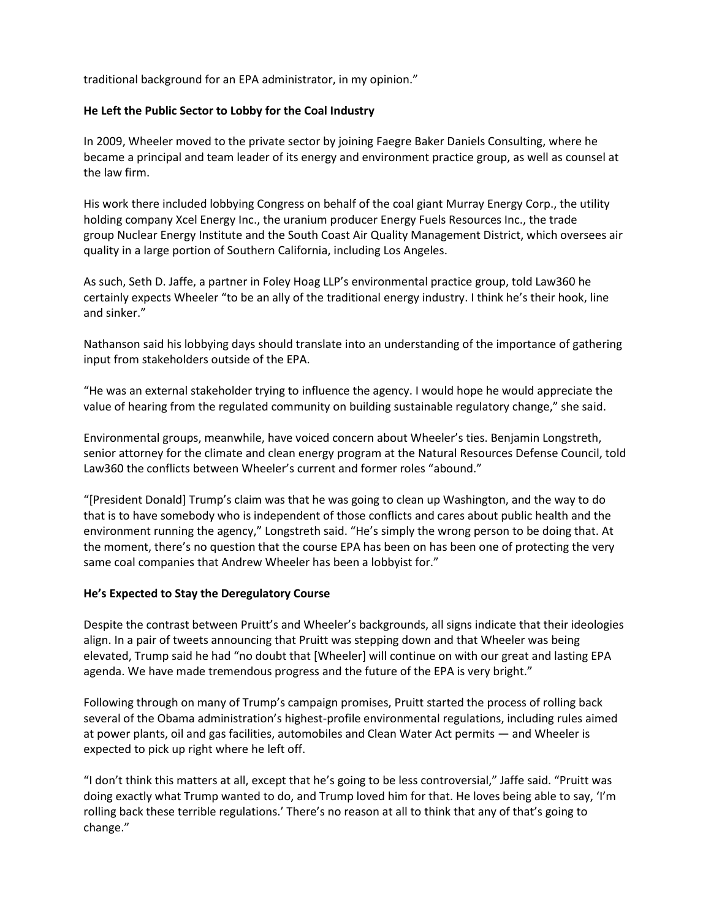traditional background for an EPA administrator, in my opinion."

# **He Left the Public Sector to Lobby for the Coal Industry**

In 2009, Wheeler moved to the private sector by joining Faegre Baker Daniels Consulting, where he became a principal and team leader of its energy and environment practice group, as well as counsel at the law firm.

His work there included lobbying Congress on behalf of the coal giant Murray Energy Corp., the utility holding company Xcel Energy Inc., the uranium producer Energy Fuels Resources Inc., the trade group Nuclear Energy Institute and the South Coast Air Quality Management District, which oversees air quality in a large portion of Southern California, including Los Angeles.

As such, Seth D. Jaffe, a partner in Foley Hoag LLP's environmental practice group, told Law360 he certainly expects Wheeler "to be an ally of the traditional energy industry. I think he's their hook, line and sinker."

Nathanson said his lobbying days should translate into an understanding of the importance of gathering input from stakeholders outside of the EPA.

"He was an external stakeholder trying to influence the agency. I would hope he would appreciate the value of hearing from the regulated community on building sustainable regulatory change," she said.

Environmental groups, meanwhile, have voiced concern about Wheeler's ties. Benjamin Longstreth, senior attorney for the climate and clean energy program at the Natural Resources Defense Council, told Law360 the conflicts between Wheeler's current and former roles "abound."

"[President Donald] Trump's claim was that he was going to clean up Washington, and the way to do that is to have somebody who is independent of those conflicts and cares about public health and the environment running the agency," Longstreth said. "He's simply the wrong person to be doing that. At the moment, there's no question that the course EPA has been on has been one of protecting the very same coal companies that Andrew Wheeler has been a lobbyist for."

## **He's Expected to Stay the Deregulatory Course**

Despite the contrast between Pruitt's and Wheeler's backgrounds, all signs indicate that their ideologies align. In a pair of tweets announcing that Pruitt was stepping down and that Wheeler was being elevated, Trump said he had "no doubt that [Wheeler] will continue on with our great and lasting EPA agenda. We have made tremendous progress and the future of the EPA is very bright."

Following through on many of Trump's campaign promises, Pruitt started the process of rolling back several of the Obama administration's highest-profile environmental regulations, including rules aimed at power plants, oil and gas facilities, automobiles and Clean Water Act permits — and Wheeler is expected to pick up right where he left off.

"I don't think this matters at all, except that he's going to be less controversial," Jaffe said. "Pruitt was doing exactly what Trump wanted to do, and Trump loved him for that. He loves being able to say, 'I'm rolling back these terrible regulations.' There's no reason at all to think that any of that's going to change."